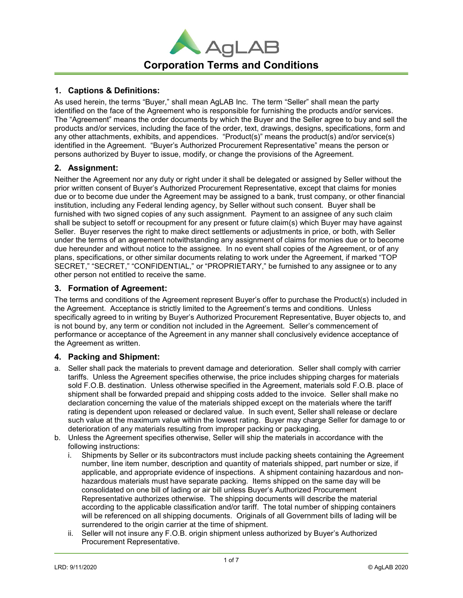

# 1. Captions & Definitions:

As used herein, the terms "Buyer," shall mean AgLAB Inc. The term "Seller" shall mean the party identified on the face of the Agreement who is responsible for furnishing the products and/or services. The "Agreement" means the order documents by which the Buyer and the Seller agree to buy and sell the products and/or services, including the face of the order, text, drawings, designs, specifications, form and any other attachments, exhibits, and appendices. "Product(s)" means the product(s) and/or service(s) identified in the Agreement. "Buyer's Authorized Procurement Representative" means the person or persons authorized by Buyer to issue, modify, or change the provisions of the Agreement.

# 2. Assignment:

Neither the Agreement nor any duty or right under it shall be delegated or assigned by Seller without the prior written consent of Buyer's Authorized Procurement Representative, except that claims for monies due or to become due under the Agreement may be assigned to a bank, trust company, or other financial institution, including any Federal lending agency, by Seller without such consent. Buyer shall be furnished with two signed copies of any such assignment. Payment to an assignee of any such claim shall be subject to setoff or recoupment for any present or future claim(s) which Buyer may have against Seller. Buyer reserves the right to make direct settlements or adjustments in price, or both, with Seller under the terms of an agreement notwithstanding any assignment of claims for monies due or to become due hereunder and without notice to the assignee. In no event shall copies of the Agreement, or of any plans, specifications, or other similar documents relating to work under the Agreement, if marked "TOP SECRET," "SECRET," "CONFIDENTIAL," or "PROPRIETARY," be furnished to any assignee or to any other person not entitled to receive the same.

# 3. Formation of Agreement:

The terms and conditions of the Agreement represent Buyer's offer to purchase the Product(s) included in the Agreement. Acceptance is strictly limited to the Agreement's terms and conditions. Unless specifically agreed to in writing by Buyer's Authorized Procurement Representative, Buyer objects to, and is not bound by, any term or condition not included in the Agreement. Seller's commencement of performance or acceptance of the Agreement in any manner shall conclusively evidence acceptance of the Agreement as written.

## 4. Packing and Shipment:

- a. Seller shall pack the materials to prevent damage and deterioration. Seller shall comply with carrier tariffs. Unless the Agreement specifies otherwise, the price includes shipping charges for materials sold F.O.B. destination. Unless otherwise specified in the Agreement, materials sold F.O.B. place of shipment shall be forwarded prepaid and shipping costs added to the invoice. Seller shall make no declaration concerning the value of the materials shipped except on the materials where the tariff rating is dependent upon released or declared value. In such event, Seller shall release or declare such value at the maximum value within the lowest rating. Buyer may charge Seller for damage to or deterioration of any materials resulting from improper packing or packaging.
- b. Unless the Agreement specifies otherwise, Seller will ship the materials in accordance with the following instructions:
	- i. Shipments by Seller or its subcontractors must include packing sheets containing the Agreement number, line item number, description and quantity of materials shipped, part number or size, if applicable, and appropriate evidence of inspections. A shipment containing hazardous and nonhazardous materials must have separate packing. Items shipped on the same day will be consolidated on one bill of lading or air bill unless Buyer's Authorized Procurement Representative authorizes otherwise. The shipping documents will describe the material according to the applicable classification and/or tariff. The total number of shipping containers will be referenced on all shipping documents. Originals of all Government bills of lading will be surrendered to the origin carrier at the time of shipment.
	- ii. Seller will not insure any F.O.B. origin shipment unless authorized by Buyer's Authorized Procurement Representative.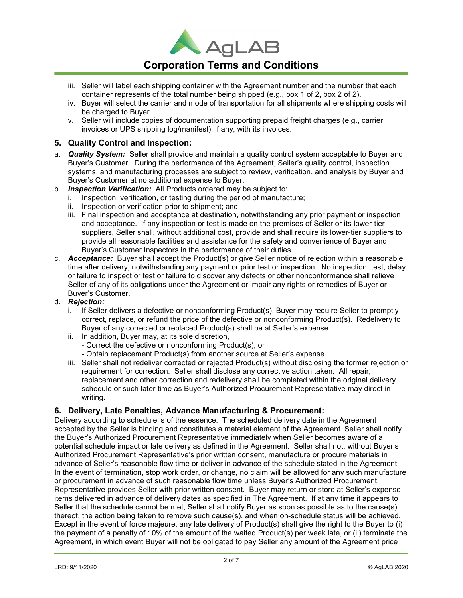

# Corporation Terms and Conditions

- iii. Seller will label each shipping container with the Agreement number and the number that each container represents of the total number being shipped (e.g., box 1 of 2, box 2 of 2).
- iv. Buyer will select the carrier and mode of transportation for all shipments where shipping costs will be charged to Buyer.
- v. Seller will include copies of documentation supporting prepaid freight charges (e.g., carrier invoices or UPS shipping log/manifest), if any, with its invoices.

## 5. Quality Control and Inspection:

- a. **Quality System:** Seller shall provide and maintain a quality control system acceptable to Buyer and Buyer's Customer. During the performance of the Agreement, Seller's quality control, inspection systems, and manufacturing processes are subject to review, verification, and analysis by Buyer and Buyer's Customer at no additional expense to Buyer.
- b. **Inspection Verification:** All Products ordered may be subject to:
	- i. Inspection, verification, or testing during the period of manufacture;
	- ii. Inspection or verification prior to shipment; and
	- iii. Final inspection and acceptance at destination, notwithstanding any prior payment or inspection and acceptance. If any inspection or test is made on the premises of Seller or its lower-tier suppliers, Seller shall, without additional cost, provide and shall require its lower-tier suppliers to provide all reasonable facilities and assistance for the safety and convenience of Buyer and Buyer's Customer Inspectors in the performance of their duties.
- c. **Acceptance:** Buyer shall accept the Product(s) or give Seller notice of rejection within a reasonable time after delivery, notwithstanding any payment or prior test or inspection. No inspection, test, delay or failure to inspect or test or failure to discover any defects or other nonconformance shall relieve Seller of any of its obligations under the Agreement or impair any rights or remedies of Buyer or Buyer's Customer.
- d. Rejection:
	- i. If Seller delivers a defective or nonconforming Product(s), Buyer may require Seller to promptly correct, replace, or refund the price of the defective or nonconforming Product(s). Redelivery to Buyer of any corrected or replaced Product(s) shall be at Seller's expense.
	- ii. In addition, Buyer may, at its sole discretion,
		- Correct the defective or nonconforming Product(s), or
		- Obtain replacement Product(s) from another source at Seller's expense.
	- iii. Seller shall not redeliver corrected or rejected Product(s) without disclosing the former rejection or requirement for correction. Seller shall disclose any corrective action taken. All repair, replacement and other correction and redelivery shall be completed within the original delivery schedule or such later time as Buyer's Authorized Procurement Representative may direct in writing.

## 6. Delivery, Late Penalties, Advance Manufacturing & Procurement:

Delivery according to schedule is of the essence. The scheduled delivery date in the Agreement accepted by the Seller is binding and constitutes a material element of the Agreement. Seller shall notify the Buyer's Authorized Procurement Representative immediately when Seller becomes aware of a potential schedule impact or late delivery as defined in the Agreement. Seller shall not, without Buyer's Authorized Procurement Representative's prior written consent, manufacture or procure materials in advance of Seller's reasonable flow time or deliver in advance of the schedule stated in the Agreement. In the event of termination, stop work order, or change, no claim will be allowed for any such manufacture or procurement in advance of such reasonable flow time unless Buyer's Authorized Procurement Representative provides Seller with prior written consent. Buyer may return or store at Seller's expense items delivered in advance of delivery dates as specified in The Agreement. If at any time it appears to Seller that the schedule cannot be met, Seller shall notify Buyer as soon as possible as to the cause(s) thereof, the action being taken to remove such cause(s), and when on-schedule status will be achieved. Except in the event of force majeure, any late delivery of Product(s) shall give the right to the Buyer to (i) the payment of a penalty of 10% of the amount of the waited Product(s) per week late, or (ii) terminate the Agreement, in which event Buyer will not be obligated to pay Seller any amount of the Agreement price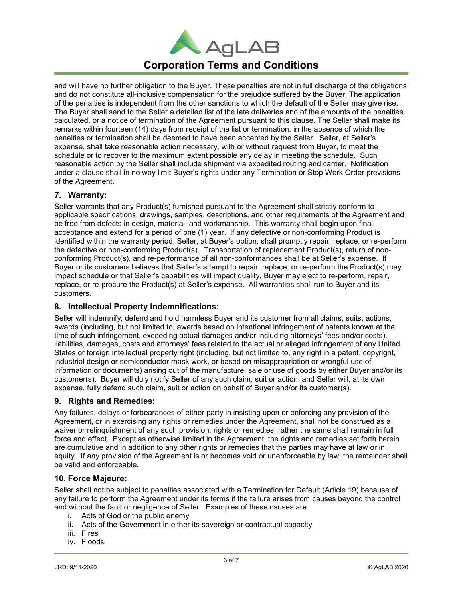

# Corporation Terms and Conditions

and will have no further obligation to the Buyer. These penalties are not in full discharge of the obligations and do not constitute all-inclusive compensation for the prejudice suffered by the Buyer. The application of the penalties is independent from the other sanctions to which the default of the Seller may give rise. The Buyer shall send to the Seller a detailed list of the late deliveries and of the amounts of the penalties calculated, or a notice of termination of the Agreement pursuant to this clause. The Seller shall make its remarks within fourteen (14) days from receipt of the list or termination, in the absence of which the penalties or termination shall be deemed to have been accepted by the Seller. Seller, at Seller's expense, shall take reasonable action necessary, with or without request from Buyer, to meet the schedule or to recover to the maximum extent possible any delay in meeting the schedule. Such reasonable action by the Seller shall include shipment via expedited routing and carrier. Notification under a clause shall in no way limit Buyer's rights under any Termination or Stop Work Order previsions of the Agreement.

# 7. Warranty:

Seller warrants that any Product(s) furnished pursuant to the Agreement shall strictly conform to applicable specifications, drawings, samples, descriptions, and other requirements of the Agreement and be free from defects in design, material, and workmanship. This warranty shall begin upon final acceptance and extend for a period of one (1) year. If any defective or non-conforming Product is identified within the warranty period, Seller, at Buyer's option, shall promptly repair, replace, or re-perform the defective or non-conforming Product(s). Transportation of replacement Product(s), return of nonconforming Product(s), and re-performance of all non-conformances shall be at Seller's expense. If Buyer or its customers believes that Seller's attempt to repair, replace, or re-perform the Product(s) may impact schedule or that Seller's capabilities will impact quality, Buyer may elect to re-perform, repair, replace, or re-procure the Product(s) at Seller's expense. All warranties shall run to Buyer and its customers.

## 8. Intellectual Property Indemnifications:

Seller will indemnify, defend and hold harmless Buyer and its customer from all claims, suits, actions, awards (including, but not limited to, awards based on intentional infringement of patents known at the time of such infringement, exceeding actual damages and/or including attorneys' fees and/or costs), liabilities, damages, costs and attorneys' fees related to the actual or alleged infringement of any United States or foreign intellectual property right (including, but not limited to, any right in a patent, copyright, industrial design or semiconductor mask work, or based on misappropriation or wrongful use of information or documents) arising out of the manufacture, sale or use of goods by either Buyer and/or its customer(s). Buyer will duly notify Seller of any such claim, suit or action; and Seller will, at its own expense, fully defend such claim, suit or action on behalf of Buyer and/or its customer(s).

## 9. Rights and Remedies:

Any failures, delays or forbearances of either party in insisting upon or enforcing any provision of the Agreement, or in exercising any rights or remedies under the Agreement, shall not be construed as a waiver or relinquishment of any such provision, rights or remedies; rather the same shall remain in full force and effect. Except as otherwise limited in the Agreement, the rights and remedies set forth herein are cumulative and in addition to any other rights or remedies that the parties may have at law or in equity. If any provision of the Agreement is or becomes void or unenforceable by law, the remainder shall be valid and enforceable.

## 10. Force Majeure:

Seller shall not be subject to penalties associated with a Termination for Default (Article 19) because of any failure to perform the Agreement under its terms if the failure arises from causes beyond the control and without the fault or negligence of Seller. Examples of these causes are

- i. Acts of God or the public enemy
- ii. Acts of the Government in either its sovereign or contractual capacity
- iii. Fires
- iv. Floods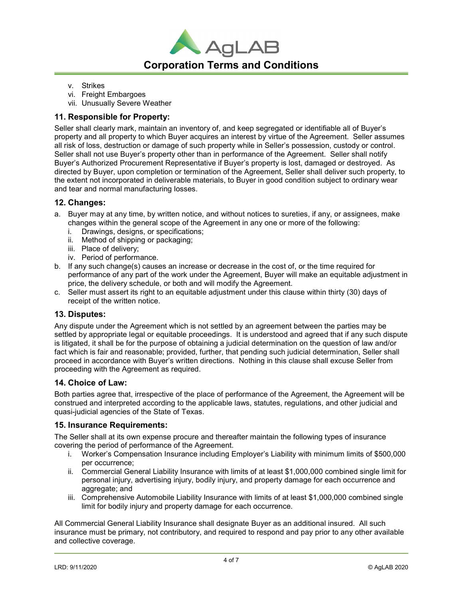

- v. Strikes
- vi. Freight Embargoes
- vii. Unusually Severe Weather

## 11. Responsible for Property:

Seller shall clearly mark, maintain an inventory of, and keep segregated or identifiable all of Buyer's property and all property to which Buyer acquires an interest by virtue of the Agreement. Seller assumes all risk of loss, destruction or damage of such property while in Seller's possession, custody or control. Seller shall not use Buyer's property other than in performance of the Agreement. Seller shall notify Buyer's Authorized Procurement Representative if Buyer's property is lost, damaged or destroyed. As directed by Buyer, upon completion or termination of the Agreement, Seller shall deliver such property, to the extent not incorporated in deliverable materials, to Buyer in good condition subject to ordinary wear and tear and normal manufacturing losses.

## 12. Changes:

- a. Buyer may at any time, by written notice, and without notices to sureties, if any, or assignees, make changes within the general scope of the Agreement in any one or more of the following:
	- i. Drawings, designs, or specifications;
	- ii. Method of shipping or packaging;
	- iii. Place of delivery;
	- iv. Period of performance.
- b. If any such change(s) causes an increase or decrease in the cost of, or the time required for performance of any part of the work under the Agreement, Buyer will make an equitable adjustment in price, the delivery schedule, or both and will modify the Agreement.
- c. Seller must assert its right to an equitable adjustment under this clause within thirty (30) days of receipt of the written notice.

#### 13. Disputes:

Any dispute under the Agreement which is not settled by an agreement between the parties may be settled by appropriate legal or equitable proceedings. It is understood and agreed that if any such dispute is litigated, it shall be for the purpose of obtaining a judicial determination on the question of law and/or fact which is fair and reasonable; provided, further, that pending such judicial determination, Seller shall proceed in accordance with Buyer's written directions. Nothing in this clause shall excuse Seller from proceeding with the Agreement as required.

#### 14. Choice of Law:

Both parties agree that, irrespective of the place of performance of the Agreement, the Agreement will be construed and interpreted according to the applicable laws, statutes, regulations, and other judicial and quasi-judicial agencies of the State of Texas.

#### 15. Insurance Requirements:

The Seller shall at its own expense procure and thereafter maintain the following types of insurance covering the period of performance of the Agreement.

- i. Worker's Compensation Insurance including Employer's Liability with minimum limits of \$500,000 per occurrence;
- ii. Commercial General Liability Insurance with limits of at least \$1,000,000 combined single limit for personal injury, advertising injury, bodily injury, and property damage for each occurrence and aggregate; and
- iii. Comprehensive Automobile Liability Insurance with limits of at least \$1,000,000 combined single limit for bodily injury and property damage for each occurrence.

All Commercial General Liability Insurance shall designate Buyer as an additional insured. All such insurance must be primary, not contributory, and required to respond and pay prior to any other available and collective coverage.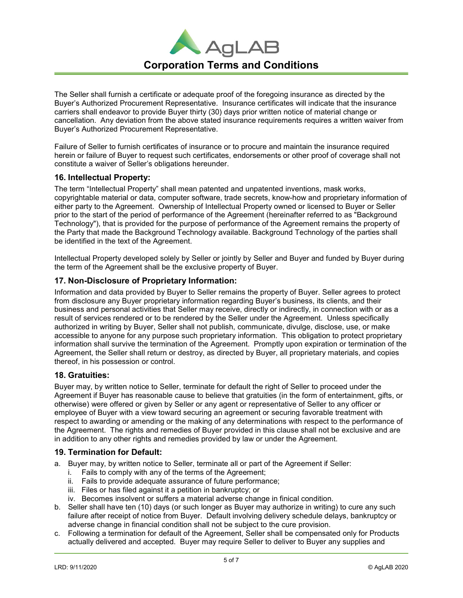

The Seller shall furnish a certificate or adequate proof of the foregoing insurance as directed by the Buyer's Authorized Procurement Representative. Insurance certificates will indicate that the insurance carriers shall endeavor to provide Buyer thirty (30) days prior written notice of material change or cancellation. Any deviation from the above stated insurance requirements requires a written waiver from Buyer's Authorized Procurement Representative.

Failure of Seller to furnish certificates of insurance or to procure and maintain the insurance required herein or failure of Buyer to request such certificates, endorsements or other proof of coverage shall not constitute a waiver of Seller's obligations hereunder.

## 16. Intellectual Property:

The term "Intellectual Property" shall mean patented and unpatented inventions, mask works, copyrightable material or data, computer software, trade secrets, know-how and proprietary information of either party to the Agreement. Ownership of Intellectual Property owned or licensed to Buyer or Seller prior to the start of the period of performance of the Agreement (hereinafter referred to as "Background Technology"), that is provided for the purpose of performance of the Agreement remains the property of the Party that made the Background Technology available. Background Technology of the parties shall be identified in the text of the Agreement.

Intellectual Property developed solely by Seller or jointly by Seller and Buyer and funded by Buyer during the term of the Agreement shall be the exclusive property of Buyer.

# 17. Non-Disclosure of Proprietary Information:

Information and data provided by Buyer to Seller remains the property of Buyer. Seller agrees to protect from disclosure any Buyer proprietary information regarding Buyer's business, its clients, and their business and personal activities that Seller may receive, directly or indirectly, in connection with or as a result of services rendered or to be rendered by the Seller under the Agreement. Unless specifically authorized in writing by Buyer, Seller shall not publish, communicate, divulge, disclose, use, or make accessible to anyone for any purpose such proprietary information. This obligation to protect proprietary information shall survive the termination of the Agreement. Promptly upon expiration or termination of the Agreement, the Seller shall return or destroy, as directed by Buyer, all proprietary materials, and copies thereof, in his possession or control.

## 18. Gratuities:

Buyer may, by written notice to Seller, terminate for default the right of Seller to proceed under the Agreement if Buyer has reasonable cause to believe that gratuities (in the form of entertainment, gifts, or otherwise) were offered or given by Seller or any agent or representative of Seller to any officer or employee of Buyer with a view toward securing an agreement or securing favorable treatment with respect to awarding or amending or the making of any determinations with respect to the performance of the Agreement. The rights and remedies of Buyer provided in this clause shall not be exclusive and are in addition to any other rights and remedies provided by law or under the Agreement.

## 19. Termination for Default:

- a. Buyer may, by written notice to Seller, terminate all or part of the Agreement if Seller:
	- i. Fails to comply with any of the terms of the Agreement;
	- ii. Fails to provide adequate assurance of future performance;
	- iii. Files or has filed against it a petition in bankruptcy; or
	- iv. Becomes insolvent or suffers a material adverse change in finical condition.
- b. Seller shall have ten (10) days (or such longer as Buyer may authorize in writing) to cure any such failure after receipt of notice from Buyer. Default involving delivery schedule delays, bankruptcy or adverse change in financial condition shall not be subject to the cure provision.
- c. Following a termination for default of the Agreement, Seller shall be compensated only for Products actually delivered and accepted. Buyer may require Seller to deliver to Buyer any supplies and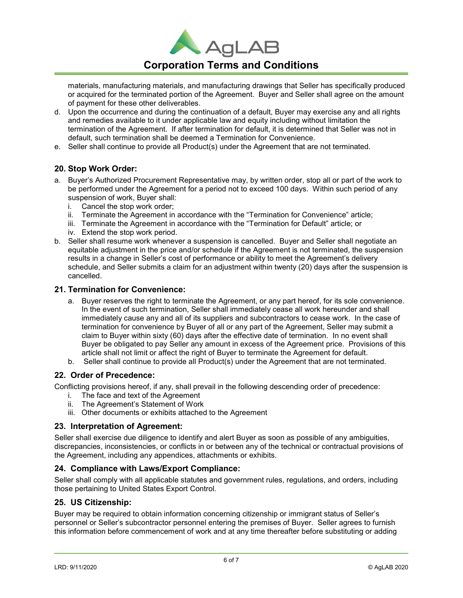

# Corporation Terms and Conditions

materials, manufacturing materials, and manufacturing drawings that Seller has specifically produced or acquired for the terminated portion of the Agreement. Buyer and Seller shall agree on the amount of payment for these other deliverables.

- d. Upon the occurrence and during the continuation of a default, Buyer may exercise any and all rights and remedies available to it under applicable law and equity including without limitation the termination of the Agreement. If after termination for default, it is determined that Seller was not in default, such termination shall be deemed a Termination for Convenience.
- e. Seller shall continue to provide all Product(s) under the Agreement that are not terminated.

# 20. Stop Work Order:

- a. Buyer's Authorized Procurement Representative may, by written order, stop all or part of the work to be performed under the Agreement for a period not to exceed 100 days. Within such period of any suspension of work, Buyer shall:
	- i. Cancel the stop work order;
	- ii. Terminate the Agreement in accordance with the "Termination for Convenience" article;
	- iii. Terminate the Agreement in accordance with the "Termination for Default" article; or
	- iv. Extend the stop work period.
- b. Seller shall resume work whenever a suspension is cancelled. Buyer and Seller shall negotiate an equitable adjustment in the price and/or schedule if the Agreement is not terminated, the suspension results in a change in Seller's cost of performance or ability to meet the Agreement's delivery schedule, and Seller submits a claim for an adjustment within twenty (20) days after the suspension is cancelled.

#### 21. Termination for Convenience:

- a. Buyer reserves the right to terminate the Agreement, or any part hereof, for its sole convenience. In the event of such termination, Seller shall immediately cease all work hereunder and shall immediately cause any and all of its suppliers and subcontractors to cease work. In the case of termination for convenience by Buyer of all or any part of the Agreement, Seller may submit a claim to Buyer within sixty (60) days after the effective date of termination. In no event shall Buyer be obligated to pay Seller any amount in excess of the Agreement price. Provisions of this article shall not limit or affect the right of Buyer to terminate the Agreement for default.
- b. Seller shall continue to provide all Product(s) under the Agreement that are not terminated.

# 22. Order of Precedence:

Conflicting provisions hereof, if any, shall prevail in the following descending order of precedence:

- i. The face and text of the Agreement
- ii. The Agreement's Statement of Work
- iii. Other documents or exhibits attached to the Agreement

## 23. Interpretation of Agreement:

Seller shall exercise due diligence to identify and alert Buyer as soon as possible of any ambiguities, discrepancies, inconsistencies, or conflicts in or between any of the technical or contractual provisions of the Agreement, including any appendices, attachments or exhibits.

## 24. Compliance with Laws/Export Compliance:

Seller shall comply with all applicable statutes and government rules, regulations, and orders, including those pertaining to United States Export Control.

#### 25. US Citizenship:

Buyer may be required to obtain information concerning citizenship or immigrant status of Seller's personnel or Seller's subcontractor personnel entering the premises of Buyer. Seller agrees to furnish this information before commencement of work and at any time thereafter before substituting or adding